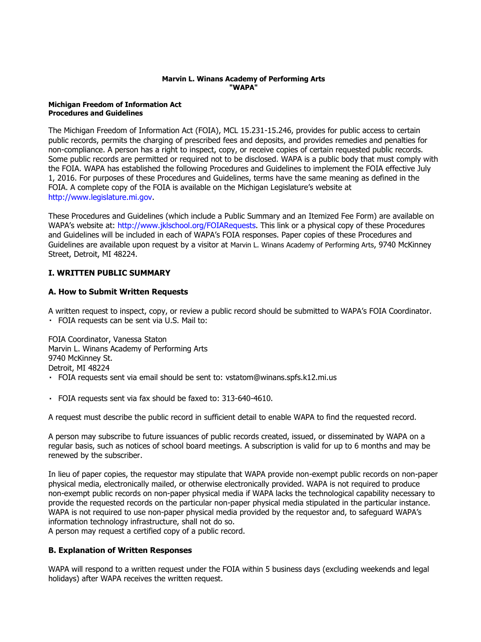#### **Marvin L. Winans Academy of Performing Arts "WAPA"**

#### **Michigan Freedom of Information Act Procedures and Guidelines**

The Michigan Freedom of Information Act (FOIA), MCL 15.231-15.246, provides for public access to certain public records, permits the charging of prescribed fees and deposits, and provides remedies and penalties for non-compliance. A person has a right to inspect, copy, or receive copies of certain requested public records. Some public records are permitted or required not to be disclosed. WAPA is a public body that must comply with the FOIA. WAPA has established the following Procedures and Guidelines to implement the FOIA effective July 1, 2016. For purposes of these Procedures and Guidelines, terms have the same meaning as defined in the FOIA. A complete copy of the FOIA is available on the Michigan Legislature's website at [http://www.legislature.mi.gov.](http://www.legislature.mi.gov/)

These Procedures and Guidelines (which include a Public Summary and an Itemized Fee Form) are available on WAPA's website at: [http://www.jklschool.org/FOIARequests.](http://www.jklschool.org/FOIARequets) This link or a physical copy of these Procedures and Guidelines will be included in each of WAPA's FOIA responses. Paper copies of these Procedures and Guidelines are available upon request by a visitor at Marvin L. Winans Academy of Performing Arts, 9740 McKinney Street, Detroit, MI 48224.

## **I. WRITTEN PUBLIC SUMMARY**

#### **A. How to Submit Written Requests**

A written request to inspect, copy, or review a public record should be submitted to WAPA's FOIA Coordinator. FOIA requests can be sent via U.S. Mail to:

FOIA Coordinator, Vanessa Staton Marvin L. Winans Academy of Performing Arts 9740 McKinney St. Detroit, MI 48224 FOIA requests sent via email should be sent to: vstatom@winans.spfs.k12.mi.us

FOIA requests sent via fax should be faxed to: 313-640-4610.

A request must describe the public record in sufficient detail to enable WAPA to find the requested record.

A person may subscribe to future issuances of public records created, issued, or disseminated by WAPA on a regular basis, such as notices of school board meetings. A subscription is valid for up to 6 months and may be renewed by the subscriber.

In lieu of paper copies, the requestor may stipulate that WAPA provide non-exempt public records on non-paper physical media, electronically mailed, or otherwise electronically provided. WAPA is not required to produce non-exempt public records on non-paper physical media if WAPA lacks the technological capability necessary to provide the requested records on the particular non-paper physical media stipulated in the particular instance. WAPA is not required to use non-paper physical media provided by the requestor and, to safeguard WAPA's information technology infrastructure, shall not do so.

A person may request a certified copy of a public record.

## **B. Explanation of Written Responses**

WAPA will respond to a written request under the FOIA within 5 business days (excluding weekends and legal holidays) after WAPA receives the written request.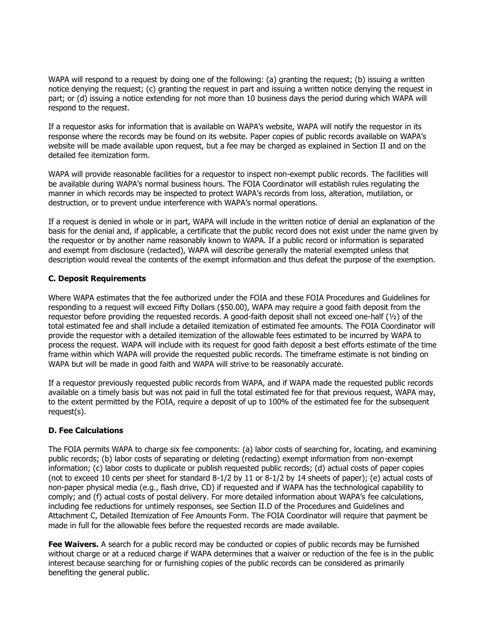WAPA will respond to a request by doing one of the following: (a) granting the request; (b) issuing a written notice denying the request; (c) granting the request in part and issuing a written notice denying the request in part; or (d) issuing a notice extending for not more than 10 business days the period during which WAPA will respond to the request.

If a requestor asks for information that is available on WAPA's website, WAPA will notify the requestor in its response where the records may be found on its website. Paper copies of public records available on WAPA's website will be made available upon request, but a fee may be charged as explained in Section II and on the detailed fee itemization form.

WAPA will provide reasonable facilities for a requestor to inspect non-exempt public records. The facilities will be available during WAPA's normal business hours. The FOIA Coordinator will establish rules regulating the manner in which records may be inspected to protect WAPA's records from loss, alteration, mutilation, or destruction, or to prevent undue interference with WAPA's normal operations.

If a request is denied in whole or in part, WAPA will include in the written notice of denial an explanation of the basis for the denial and, if applicable, a certificate that the public record does not exist under the name given by the requestor or by another name reasonably known to WAPA. If a public record or information is separated and exempt from disclosure (redacted), WAPA will describe generally the material exempted unless that description would reveal the contents of the exempt information and thus defeat the purpose of the exemption.

## **C. Deposit Requirements**

Where WAPA estimates that the fee authorized under the FOIA and these FOIA Procedures and Guidelines for responding to a request will exceed Fifty Dollars (\$50.00), WAPA may require a good faith deposit from the requestor before providing the requested records. A good-faith deposit shall not exceed one-half (½) of the total estimated fee and shall include a detailed itemization of estimated fee amounts. The FOIA Coordinator will provide the requestor with a detailed itemization of the allowable fees estimated to be incurred by WAPA to process the request. WAPA will include with its request for good faith deposit a best efforts estimate of the time frame within which WAPA will provide the requested public records. The timeframe estimate is not binding on WAPA but will be made in good faith and WAPA will strive to be reasonably accurate.

If a requestor previously requested public records from WAPA, and if WAPA made the requested public records available on a timely basis but was not paid in full the total estimated fee for that previous request, WAPA may, to the extent permitted by the FOIA, require a deposit of up to 100% of the estimated fee for the subsequent request(s).

## **D. Fee Calculations**

The FOIA permits WAPA to charge six fee components: (a) labor costs of searching for, locating, and examining public records; (b) labor costs of separating or deleting (redacting) exempt information from non-exempt information; (c) labor costs to duplicate or publish requested public records; (d) actual costs of paper copies (not to exceed 10 cents per sheet for standard 8-1/2 by 11 or 8-1/2 by 14 sheets of paper); (e) actual costs of non-paper physical media (e.g., flash drive, CD) if requested and if WAPA has the technological capability to comply; and (f) actual costs of postal delivery. For more detailed information about WAPA's fee calculations, including fee reductions for untimely responses, see Section II.D of the Procedures and Guidelines and Attachment C, Detailed Itemization of Fee Amounts Form. The FOIA Coordinator will require that payment be made in full for the allowable fees before the requested records are made available.

**Fee Waivers.** A search for a public record may be conducted or copies of public records may be furnished without charge or at a reduced charge if WAPA determines that a waiver or reduction of the fee is in the public interest because searching for or furnishing copies of the public records can be considered as primarily benefiting the general public.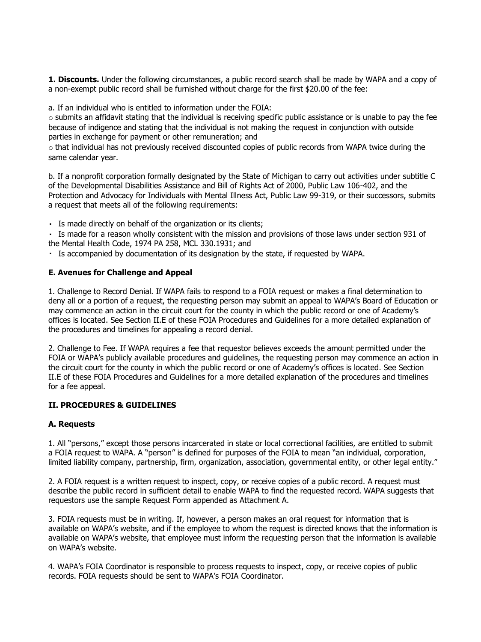**1. Discounts.** Under the following circumstances, a public record search shall be made by WAPA and a copy of a non-exempt public record shall be furnished without charge for the first \$20.00 of the fee:

a. If an individual who is entitled to information under the FOIA:

 $\circ$  submits an affidavit stating that the individual is receiving specific public assistance or is unable to pay the fee because of indigence and stating that the individual is not making the request in conjunction with outside parties in exchange for payment or other remuneration; and

 $\circ$  that individual has not previously received discounted copies of public records from WAPA twice during the same calendar year.

b. If a nonprofit corporation formally designated by the State of Michigan to carry out activities under subtitle C of the Developmental Disabilities Assistance and Bill of Rights Act of 2000, Public Law 106-402, and the Protection and Advocacy for Individuals with Mental Illness Act, Public Law 99-319, or their successors, submits a request that meets all of the following requirements:

Is made directly on behalf of the organization or its clients;

Is made for a reason wholly consistent with the mission and provisions of those laws under section 931 of the Mental Health Code, 1974 PA 258, MCL 330.1931; and

Is accompanied by documentation of its designation by the state, if requested by WAPA.

#### **E. Avenues for Challenge and Appeal**

1. Challenge to Record Denial. If WAPA fails to respond to a FOIA request or makes a final determination to deny all or a portion of a request, the requesting person may submit an appeal to WAPA's Board of Education or may commence an action in the circuit court for the county in which the public record or one of Academy's offices is located. See Section II.E of these FOIA Procedures and Guidelines for a more detailed explanation of the procedures and timelines for appealing a record denial.

2. Challenge to Fee. If WAPA requires a fee that requestor believes exceeds the amount permitted under the FOIA or WAPA's publicly available procedures and guidelines, the requesting person may commence an action in the circuit court for the county in which the public record or one of Academy's offices is located. See Section II.E of these FOIA Procedures and Guidelines for a more detailed explanation of the procedures and timelines for a fee appeal.

## **II. PROCEDURES & GUIDELINES**

#### **A. Requests**

1. All "persons," except those persons incarcerated in state or local correctional facilities, are entitled to submit a FOIA request to WAPA. A "person" is defined for purposes of the FOIA to mean "an individual, corporation, limited liability company, partnership, firm, organization, association, governmental entity, or other legal entity."

2. A FOIA request is a written request to inspect, copy, or receive copies of a public record. A request must describe the public record in sufficient detail to enable WAPA to find the requested record. WAPA suggests that requestors use the sample Request Form appended as Attachment A.

3. FOIA requests must be in writing. If, however, a person makes an oral request for information that is available on WAPA's website, and if the employee to whom the request is directed knows that the information is available on WAPA's website, that employee must inform the requesting person that the information is available on WAPA's website.

4. WAPA's FOIA Coordinator is responsible to process requests to inspect, copy, or receive copies of public records. FOIA requests should be sent to WAPA's FOIA Coordinator.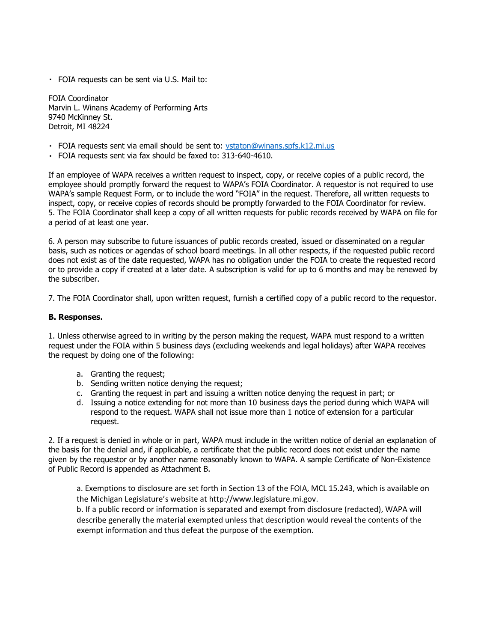FOIA requests can be sent via U.S. Mail to:

FOIA Coordinator Marvin L. Winans Academy of Performing Arts 9740 McKinney St. Detroit, MI 48224

- FOIA requests sent via email should be sent to:<vstaton@winans.spfs.k12.mi.us>
- FOIA requests sent via fax should be faxed to: 313-640-4610.

If an employee of WAPA receives a written request to inspect, copy, or receive copies of a public record, the employee should promptly forward the request to WAPA's FOIA Coordinator. A requestor is not required to use WAPA's sample Request Form, or to include the word "FOIA" in the request. Therefore, all written requests to inspect, copy, or receive copies of records should be promptly forwarded to the FOIA Coordinator for review. 5. The FOIA Coordinator shall keep a copy of all written requests for public records received by WAPA on file for a period of at least one year.

6. A person may subscribe to future issuances of public records created, issued or disseminated on a regular basis, such as notices or agendas of school board meetings. In all other respects, if the requested public record does not exist as of the date requested, WAPA has no obligation under the FOIA to create the requested record or to provide a copy if created at a later date. A subscription is valid for up to 6 months and may be renewed by the subscriber.

7. The FOIA Coordinator shall, upon written request, furnish a certified copy of a public record to the requestor.

#### **B. Responses.**

1. Unless otherwise agreed to in writing by the person making the request, WAPA must respond to a written request under the FOIA within 5 business days (excluding weekends and legal holidays) after WAPA receives the request by doing one of the following:

- a. Granting the request;
- b. Sending written notice denying the request;
- c. Granting the request in part and issuing a written notice denying the request in part; or
- d. Issuing a notice extending for not more than 10 business days the period during which WAPA will respond to the request. WAPA shall not issue more than 1 notice of extension for a particular request.

2. If a request is denied in whole or in part, WAPA must include in the written notice of denial an explanation of the basis for the denial and, if applicable, a certificate that the public record does not exist under the name given by the requestor or by another name reasonably known to WAPA. A sample Certificate of Non-Existence of Public Record is appended as Attachment B.

a. Exemptions to disclosure are set forth in Section 13 of the FOIA, MCL 15.243, which is available on the Michigan Legislature's website at [http://www.legislature.mi.gov.](http://www.legislature.mi.gov/)

b. If a public record or information is separated and exempt from disclosure (redacted), WAPA will describe generally the material exempted unless that description would reveal the contents of the exempt information and thus defeat the purpose of the exemption.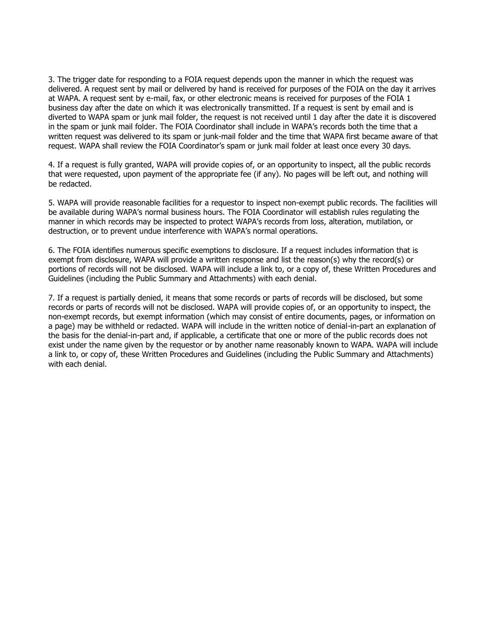3. The trigger date for responding to a FOIA request depends upon the manner in which the request was delivered. A request sent by mail or delivered by hand is received for purposes of the FOIA on the day it arrives at WAPA. A request sent by e-mail, fax, or other electronic means is received for purposes of the FOIA 1 business day after the date on which it was electronically transmitted. If a request is sent by email and is diverted to WAPA spam or junk mail folder, the request is not received until 1 day after the date it is discovered in the spam or junk mail folder. The FOIA Coordinator shall include in WAPA's records both the time that a written request was delivered to its spam or junk-mail folder and the time that WAPA first became aware of that request. WAPA shall review the FOIA Coordinator's spam or junk mail folder at least once every 30 days.

4. If a request is fully granted, WAPA will provide copies of, or an opportunity to inspect, all the public records that were requested, upon payment of the appropriate fee (if any). No pages will be left out, and nothing will be redacted.

5. WAPA will provide reasonable facilities for a requestor to inspect non-exempt public records. The facilities will be available during WAPA's normal business hours. The FOIA Coordinator will establish rules regulating the manner in which records may be inspected to protect WAPA's records from loss, alteration, mutilation, or destruction, or to prevent undue interference with WAPA's normal operations.

6. The FOIA identifies numerous specific exemptions to disclosure. If a request includes information that is exempt from disclosure, WAPA will provide a written response and list the reason(s) why the record(s) or portions of records will not be disclosed. WAPA will include a link to, or a copy of, these Written Procedures and Guidelines (including the Public Summary and Attachments) with each denial.

7. If a request is partially denied, it means that some records or parts of records will be disclosed, but some records or parts of records will not be disclosed. WAPA will provide copies of, or an opportunity to inspect, the non-exempt records, but exempt information (which may consist of entire documents, pages, or information on a page) may be withheld or redacted. WAPA will include in the written notice of denial-in-part an explanation of the basis for the denial-in-part and, if applicable, a certificate that one or more of the public records does not exist under the name given by the requestor or by another name reasonably known to WAPA. WAPA will include a link to, or copy of, these Written Procedures and Guidelines (including the Public Summary and Attachments) with each denial.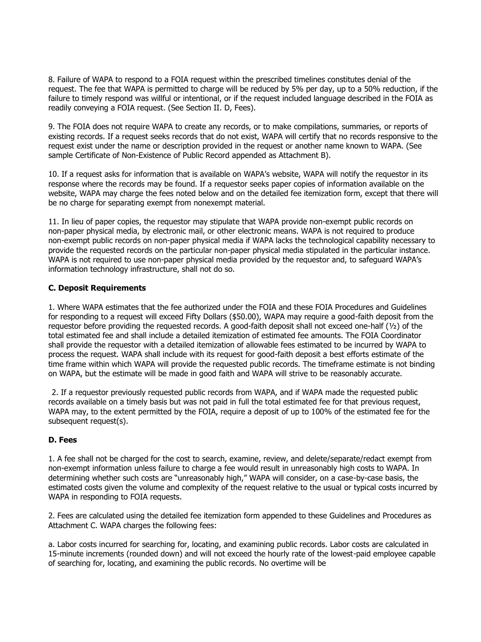8. Failure of WAPA to respond to a FOIA request within the prescribed timelines constitutes denial of the request. The fee that WAPA is permitted to charge will be reduced by 5% per day, up to a 50% reduction, if the failure to timely respond was willful or intentional, or if the request included language described in the FOIA as readily conveying a FOIA request. (See Section II. D, Fees).

9. The FOIA does not require WAPA to create any records, or to make compilations, summaries, or reports of existing records. If a request seeks records that do not exist, WAPA will certify that no records responsive to the request exist under the name or description provided in the request or another name known to WAPA. (See sample Certificate of Non-Existence of Public Record appended as Attachment B).

10. If a request asks for information that is available on WAPA's website, WAPA will notify the requestor in its response where the records may be found. If a requestor seeks paper copies of information available on the website, WAPA may charge the fees noted below and on the detailed fee itemization form, except that there will be no charge for separating exempt from nonexempt material.

11. In lieu of paper copies, the requestor may stipulate that WAPA provide non-exempt public records on non-paper physical media, by electronic mail, or other electronic means. WAPA is not required to produce non-exempt public records on non-paper physical media if WAPA lacks the technological capability necessary to provide the requested records on the particular non-paper physical media stipulated in the particular instance. WAPA is not required to use non-paper physical media provided by the requestor and, to safeguard WAPA's information technology infrastructure, shall not do so.

## **C. Deposit Requirements**

1. Where WAPA estimates that the fee authorized under the FOIA and these FOIA Procedures and Guidelines for responding to a request will exceed Fifty Dollars (\$50.00), WAPA may require a good-faith deposit from the requestor before providing the requested records. A good-faith deposit shall not exceed one-half (½) of the total estimated fee and shall include a detailed itemization of estimated fee amounts. The FOIA Coordinator shall provide the requestor with a detailed itemization of allowable fees estimated to be incurred by WAPA to process the request. WAPA shall include with its request for good-faith deposit a best efforts estimate of the time frame within which WAPA will provide the requested public records. The timeframe estimate is not binding on WAPA, but the estimate will be made in good faith and WAPA will strive to be reasonably accurate.

2. If a requestor previously requested public records from WAPA, and if WAPA made the requested public records available on a timely basis but was not paid in full the total estimated fee for that previous request, WAPA may, to the extent permitted by the FOIA, require a deposit of up to 100% of the estimated fee for the subsequent request(s).

# **D. Fees**

1. A fee shall not be charged for the cost to search, examine, review, and delete/separate/redact exempt from non-exempt information unless failure to charge a fee would result in unreasonably high costs to WAPA. In determining whether such costs are "unreasonably high," WAPA will consider, on a case-by-case basis, the estimated costs given the volume and complexity of the request relative to the usual or typical costs incurred by WAPA in responding to FOIA requests.

2. Fees are calculated using the detailed fee itemization form appended to these Guidelines and Procedures as Attachment C. WAPA charges the following fees:

a. Labor costs incurred for searching for, locating, and examining public records. Labor costs are calculated in 15-minute increments (rounded down) and will not exceed the hourly rate of the lowest-paid employee capable of searching for, locating, and examining the public records. No overtime will be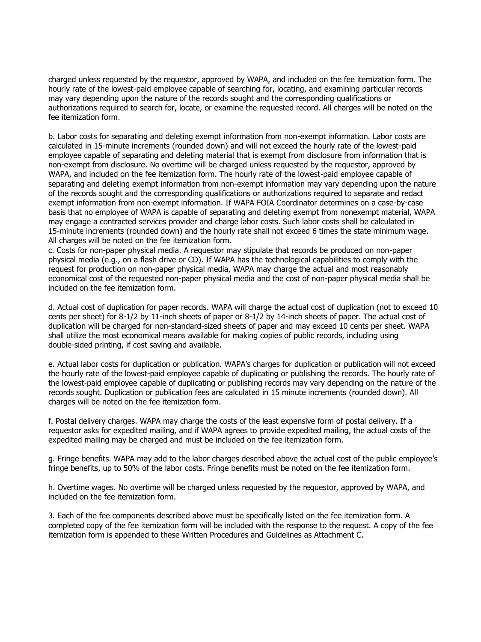charged unless requested by the requestor, approved by WAPA, and included on the fee itemization form. The hourly rate of the lowest-paid employee capable of searching for, locating, and examining particular records may vary depending upon the nature of the records sought and the corresponding qualifications or authorizations required to search for, locate, or examine the requested record. All charges will be noted on the fee itemization form.

b. Labor costs for separating and deleting exempt information from non-exempt information. Labor costs are calculated in 15-minute increments (rounded down) and will not exceed the hourly rate of the lowest-paid employee capable of separating and deleting material that is exempt from disclosure from information that is non-exempt from disclosure. No overtime will be charged unless requested by the requestor, approved by WAPA, and included on the fee itemization form. The hourly rate of the lowest-paid employee capable of separating and deleting exempt information from non-exempt information may vary depending upon the nature of the records sought and the corresponding qualifications or authorizations required to separate and redact exempt information from non-exempt information. If WAPA FOIA Coordinator determines on a case-by-case basis that no employee of WAPA is capable of separating and deleting exempt from nonexempt material, WAPA may engage a contracted services provider and charge labor costs. Such labor costs shall be calculated in 15-minute increments (rounded down) and the hourly rate shall not exceed 6 times the state minimum wage. All charges will be noted on the fee itemization form.

c. Costs for non-paper physical media. A requestor may stipulate that records be produced on non-paper physical media (e.g., on a flash drive or CD). If WAPA has the technological capabilities to comply with the request for production on non-paper physical media, WAPA may charge the actual and most reasonably economical cost of the requested non-paper physical media and the cost of non-paper physical media shall be included on the fee itemization form.

d. Actual cost of duplication for paper records. WAPA will charge the actual cost of duplication (not to exceed 10 cents per sheet) for 8-1/2 by 11-inch sheets of paper or 8-1/2 by 14-inch sheets of paper. The actual cost of duplication will be charged for non-standard-sized sheets of paper and may exceed 10 cents per sheet. WAPA shall utilize the most economical means available for making copies of public records, including using double-sided printing, if cost saving and available.

e. Actual labor costs for duplication or publication. WAPA's charges for duplication or publication will not exceed the hourly rate of the lowest-paid employee capable of duplicating or publishing the records. The hourly rate of the lowest-paid employee capable of duplicating or publishing records may vary depending on the nature of the records sought. Duplication or publication fees are calculated in 15 minute increments (rounded down). All charges will be noted on the fee itemization form.

f. Postal delivery charges. WAPA may charge the costs of the least expensive form of postal delivery. If a requestor asks for expedited mailing, and if WAPA agrees to provide expedited mailing, the actual costs of the expedited mailing may be charged and must be included on the fee itemization form.

g. Fringe benefits. WAPA may add to the labor charges described above the actual cost of the public employee's fringe benefits, up to 50% of the labor costs. Fringe benefits must be noted on the fee itemization form.

h. Overtime wages. No overtime will be charged unless requested by the requestor, approved by WAPA, and included on the fee itemization form.

3. Each of the fee components described above must be specifically listed on the fee itemization form. A completed copy of the fee itemization form will be included with the response to the request. A copy of the fee itemization form is appended to these Written Procedures and Guidelines as Attachment C.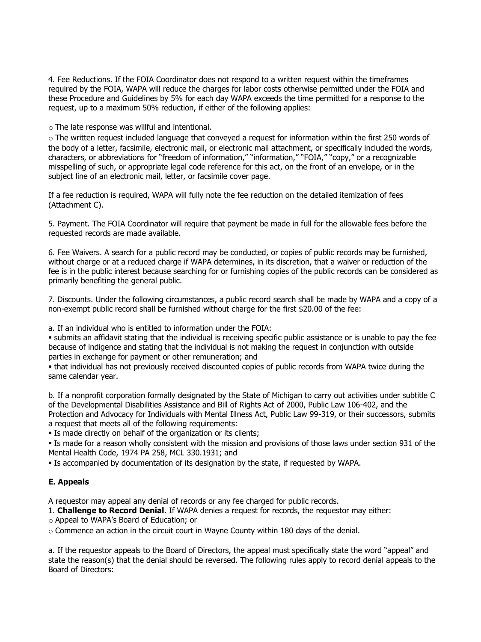4. Fee Reductions. If the FOIA Coordinator does not respond to a written request within the timeframes required by the FOIA, WAPA will reduce the charges for labor costs otherwise permitted under the FOIA and these Procedure and Guidelines by 5% for each day WAPA exceeds the time permitted for a response to the request, up to a maximum 50% reduction, if either of the following applies:

o The late response was willful and intentional.

 $\circ$  The written request included language that conveved a request for information within the first 250 words of the body of a letter, facsimile, electronic mail, or electronic mail attachment, or specifically included the words, characters, or abbreviations for "freedom of information," "information," "FOIA," "copy," or a recognizable misspelling of such, or appropriate legal code reference for this act, on the front of an envelope, or in the subject line of an electronic mail, letter, or facsimile cover page.

If a fee reduction is required, WAPA will fully note the fee reduction on the detailed itemization of fees (Attachment C).

5. Payment. The FOIA Coordinator will require that payment be made in full for the allowable fees before the requested records are made available.

6. Fee Waivers. A search for a public record may be conducted, or copies of public records may be furnished, without charge or at a reduced charge if WAPA determines, in its discretion, that a waiver or reduction of the fee is in the public interest because searching for or furnishing copies of the public records can be considered as primarily benefiting the general public.

7. Discounts. Under the following circumstances, a public record search shall be made by WAPA and a copy of a non-exempt public record shall be furnished without charge for the first \$20.00 of the fee:

a. If an individual who is entitled to information under the FOIA:

▪ submits an affidavit stating that the individual is receiving specific public assistance or is unable to pay the fee because of indigence and stating that the individual is not making the request in conjunction with outside parties in exchange for payment or other remuneration; and

▪ that individual has not previously received discounted copies of public records from WAPA twice during the same calendar year.

b. If a nonprofit corporation formally designated by the State of Michigan to carry out activities under subtitle C of the Developmental Disabilities Assistance and Bill of Rights Act of 2000, Public Law 106-402, and the Protection and Advocacy for Individuals with Mental Illness Act, Public Law 99-319, or their successors, submits a request that meets all of the following requirements:

**Example 3** Is made directly on behalf of the organization or its clients;

▪ Is made for a reason wholly consistent with the mission and provisions of those laws under section 931 of the Mental Health Code, 1974 PA 258, MCL 330.1931; and

▪ Is accompanied by documentation of its designation by the state, if requested by WAPA.

# **E. Appeals**

A requestor may appeal any denial of records or any fee charged for public records.

1. **Challenge to Record Denial**. If WAPA denies a request for records, the requestor may either:

o Appeal to WAPA's Board of Education; or

 $\circ$  Commence an action in the circuit court in Wayne County within 180 days of the denial.

a. If the requestor appeals to the Board of Directors, the appeal must specifically state the word "appeal" and state the reason(s) that the denial should be reversed. The following rules apply to record denial appeals to the Board of Directors: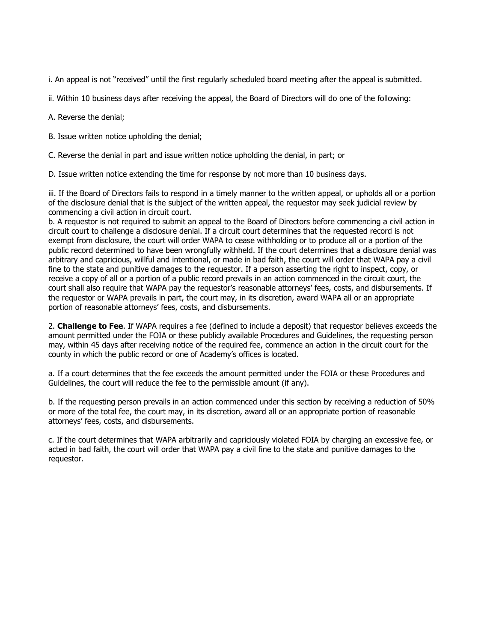i. An appeal is not "received" until the first regularly scheduled board meeting after the appeal is submitted.

ii. Within 10 business days after receiving the appeal, the Board of Directors will do one of the following:

A. Reverse the denial;

B. Issue written notice upholding the denial;

C. Reverse the denial in part and issue written notice upholding the denial, in part; or

D. Issue written notice extending the time for response by not more than 10 business days.

iii. If the Board of Directors fails to respond in a timely manner to the written appeal, or upholds all or a portion of the disclosure denial that is the subject of the written appeal, the requestor may seek judicial review by commencing a civil action in circuit court.

b. A requestor is not required to submit an appeal to the Board of Directors before commencing a civil action in circuit court to challenge a disclosure denial. If a circuit court determines that the requested record is not exempt from disclosure, the court will order WAPA to cease withholding or to produce all or a portion of the public record determined to have been wrongfully withheld. If the court determines that a disclosure denial was arbitrary and capricious, willful and intentional, or made in bad faith, the court will order that WAPA pay a civil fine to the state and punitive damages to the requestor. If a person asserting the right to inspect, copy, or receive a copy of all or a portion of a public record prevails in an action commenced in the circuit court, the court shall also require that WAPA pay the requestor's reasonable attorneys' fees, costs, and disbursements. If the requestor or WAPA prevails in part, the court may, in its discretion, award WAPA all or an appropriate portion of reasonable attorneys' fees, costs, and disbursements.

2. **Challenge to Fee**. If WAPA requires a fee (defined to include a deposit) that requestor believes exceeds the amount permitted under the FOIA or these publicly available Procedures and Guidelines, the requesting person may, within 45 days after receiving notice of the required fee, commence an action in the circuit court for the county in which the public record or one of Academy's offices is located.

a. If a court determines that the fee exceeds the amount permitted under the FOIA or these Procedures and Guidelines, the court will reduce the fee to the permissible amount (if any).

b. If the requesting person prevails in an action commenced under this section by receiving a reduction of 50% or more of the total fee, the court may, in its discretion, award all or an appropriate portion of reasonable attorneys' fees, costs, and disbursements.

c. If the court determines that WAPA arbitrarily and capriciously violated FOIA by charging an excessive fee, or acted in bad faith, the court will order that WAPA pay a civil fine to the state and punitive damages to the requestor.